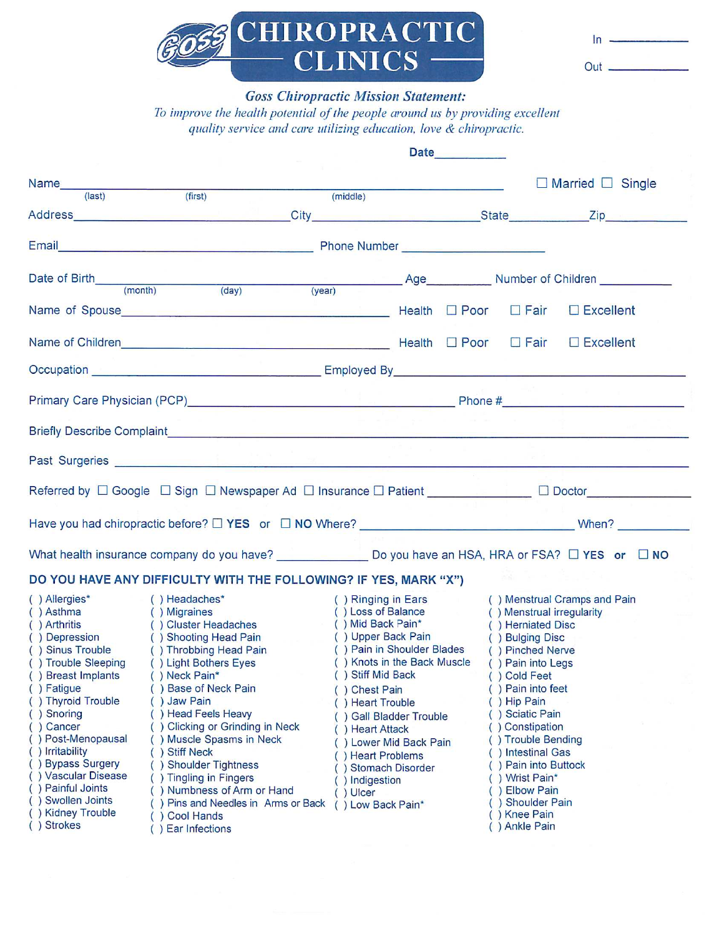| <b>ARG CHIROPRACTIC</b> |  |
|-------------------------|--|
| <b>CLINICS</b>          |  |

| In. |  |  |  |
|-----|--|--|--|
| Out |  |  |  |

### **Goss Chiropractic Mission Statement:**

To improve the health potential of the people around us by providing excellent quality service and care utilizing education, love & chiropractic.

|                                                                                                                                                                                                                                                                                                                                                                                                                                                                                                                                                                                                                                                                                                                                                                                                                                                                                                                                                                                                                                                                                                                                                                                                       | <b>Date Date</b>                                                                                                                                                                                                                                                                                                                                                                                                                                                                                          |
|-------------------------------------------------------------------------------------------------------------------------------------------------------------------------------------------------------------------------------------------------------------------------------------------------------------------------------------------------------------------------------------------------------------------------------------------------------------------------------------------------------------------------------------------------------------------------------------------------------------------------------------------------------------------------------------------------------------------------------------------------------------------------------------------------------------------------------------------------------------------------------------------------------------------------------------------------------------------------------------------------------------------------------------------------------------------------------------------------------------------------------------------------------------------------------------------------------|-----------------------------------------------------------------------------------------------------------------------------------------------------------------------------------------------------------------------------------------------------------------------------------------------------------------------------------------------------------------------------------------------------------------------------------------------------------------------------------------------------------|
| (middle)                                                                                                                                                                                                                                                                                                                                                                                                                                                                                                                                                                                                                                                                                                                                                                                                                                                                                                                                                                                                                                                                                                                                                                                              | $\Box$ Married $\Box$ Single<br><u> Listen kan andre stad i den stad i den stad i den stad i den stad i den stad i den stad i den stad i den stad</u>                                                                                                                                                                                                                                                                                                                                                     |
|                                                                                                                                                                                                                                                                                                                                                                                                                                                                                                                                                                                                                                                                                                                                                                                                                                                                                                                                                                                                                                                                                                                                                                                                       |                                                                                                                                                                                                                                                                                                                                                                                                                                                                                                           |
| Email <b>Email Email Email Comparison Comparison Comparison</b> Phone Number <b>Comparison Comparison</b>                                                                                                                                                                                                                                                                                                                                                                                                                                                                                                                                                                                                                                                                                                                                                                                                                                                                                                                                                                                                                                                                                             |                                                                                                                                                                                                                                                                                                                                                                                                                                                                                                           |
| Date of Birth (month) (day) (year) Age Number of Children (month)                                                                                                                                                                                                                                                                                                                                                                                                                                                                                                                                                                                                                                                                                                                                                                                                                                                                                                                                                                                                                                                                                                                                     |                                                                                                                                                                                                                                                                                                                                                                                                                                                                                                           |
|                                                                                                                                                                                                                                                                                                                                                                                                                                                                                                                                                                                                                                                                                                                                                                                                                                                                                                                                                                                                                                                                                                                                                                                                       |                                                                                                                                                                                                                                                                                                                                                                                                                                                                                                           |
|                                                                                                                                                                                                                                                                                                                                                                                                                                                                                                                                                                                                                                                                                                                                                                                                                                                                                                                                                                                                                                                                                                                                                                                                       |                                                                                                                                                                                                                                                                                                                                                                                                                                                                                                           |
|                                                                                                                                                                                                                                                                                                                                                                                                                                                                                                                                                                                                                                                                                                                                                                                                                                                                                                                                                                                                                                                                                                                                                                                                       |                                                                                                                                                                                                                                                                                                                                                                                                                                                                                                           |
| Primary Care Physician (PCP) 2008 2009 2010 2020 2021 2021 2022 2023 2024 2022 2023 2024 2022 2023 2024 2022 20                                                                                                                                                                                                                                                                                                                                                                                                                                                                                                                                                                                                                                                                                                                                                                                                                                                                                                                                                                                                                                                                                       |                                                                                                                                                                                                                                                                                                                                                                                                                                                                                                           |
|                                                                                                                                                                                                                                                                                                                                                                                                                                                                                                                                                                                                                                                                                                                                                                                                                                                                                                                                                                                                                                                                                                                                                                                                       |                                                                                                                                                                                                                                                                                                                                                                                                                                                                                                           |
| Past Surgeries <b>Executive Contract Contract Contract Contract Contract Contract Contract Contract Contract Contract Contract Contract Contract Contract Contract Contract Contract Contract Contract Contract Contract Contrac</b>                                                                                                                                                                                                                                                                                                                                                                                                                                                                                                                                                                                                                                                                                                                                                                                                                                                                                                                                                                  |                                                                                                                                                                                                                                                                                                                                                                                                                                                                                                           |
| Referred by □ Google □ Sign □ Newspaper Ad □ Insurance □ Patient <u>New World Doctor</u> □ Doctor                                                                                                                                                                                                                                                                                                                                                                                                                                                                                                                                                                                                                                                                                                                                                                                                                                                                                                                                                                                                                                                                                                     |                                                                                                                                                                                                                                                                                                                                                                                                                                                                                                           |
|                                                                                                                                                                                                                                                                                                                                                                                                                                                                                                                                                                                                                                                                                                                                                                                                                                                                                                                                                                                                                                                                                                                                                                                                       |                                                                                                                                                                                                                                                                                                                                                                                                                                                                                                           |
| What health insurance company do you have? ________________ Do you have an HSA, HRA or FSA? □ YES or □ NO                                                                                                                                                                                                                                                                                                                                                                                                                                                                                                                                                                                                                                                                                                                                                                                                                                                                                                                                                                                                                                                                                             |                                                                                                                                                                                                                                                                                                                                                                                                                                                                                                           |
| DO YOU HAVE ANY DIFFICULTY WITH THE FOLLOWING? IF YES, MARK "X")                                                                                                                                                                                                                                                                                                                                                                                                                                                                                                                                                                                                                                                                                                                                                                                                                                                                                                                                                                                                                                                                                                                                      |                                                                                                                                                                                                                                                                                                                                                                                                                                                                                                           |
| () Allergies*<br>() Headaches*<br>$( )$ Asthma<br>( ) Migraines<br>( ) Cluster Headaches<br>( ) Shooting Head Pain<br>$( )$ Mid Back Pain <sup>*</sup><br>() Arthritis<br>$\langle \mathcal{H} \rangle$ .<br>( ) Artnritis<br>( ) Depression<br>( ) Sinus Trouble<br>() Upper Back Pain<br>() Throbbing Head Pain<br>() Trouble Sleeping () Light Bothers Eyes<br>() Stiff Mid Back<br>() Breast Implants<br>( ) Neck Pain*<br>( ) Fatigue<br>) Base of Neck Pain<br>() Chest Pain<br>) Jaw Pain<br>() Thyroid Trouble<br>() Heart Trouble<br>) Head Feels Heavy<br>() Snoring<br>() Gall Bladder Trouble<br>( ) Cancer<br>) Clicking or Grinding in Neck<br>() Heart Attack<br>() Post-Menopausal<br>) Muscle Spasms in Neck<br>() Lower Mid Back Pain<br>() Irritability<br><b>Stiff Neck</b><br>() Heart Problems<br>( ) Bypass Surgery<br><b>Shoulder Tightness</b><br>$\lambda$<br>) Stomach Disorder<br>() Vascular Disease<br>) Tingling in Fingers<br>) Indigestion<br>) Painful Joints<br>() Numbness of Arm or Hand<br>$()$ Ulcer<br>) Swollen Joints<br>) Pins and Needles in Arms or Back<br>() Low Back Pain*<br>) Kidney Trouble<br><b>Cool Hands</b><br>() Strokes<br>) Ear Infections | ( ) Ringing in Ears<br>() Menstrual Cramps and Pain<br>() Loss of Balance<br>() Menstrual irregularity<br>( ) Herniated Disc<br>( ) Bulging Disc<br>() Pain in Shoulder Blades<br>( ) Pinched Nerve<br>() Knots in the Back Muscle<br>() Pain into Legs<br>( ) Cold Feet<br>() Pain into feet<br>() Hip Pain<br>() Sciatic Pain<br>() Constipation<br>() Trouble Bending<br>) Intestinal Gas<br>) Pain into Buttock<br>) Wrist Pain*<br>) Elbow Pain<br><b>Shoulder Pain</b><br>Knee Pain<br>) Ankle Pain |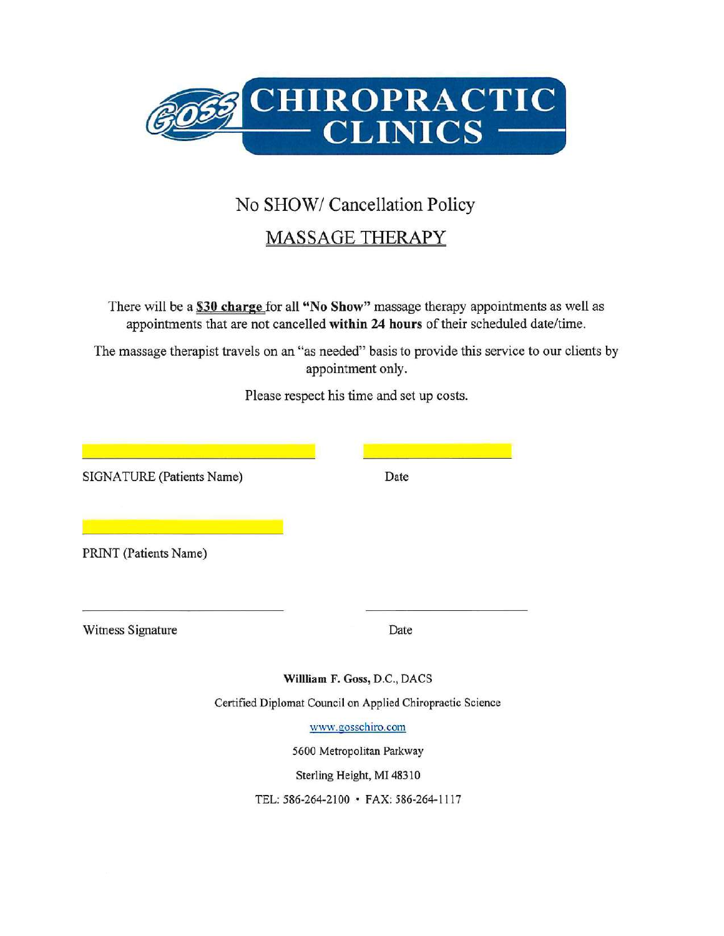

# No SHOW/ Cancellation Policy

## **MASSAGE THERAPY**

There will be a \$30 charge for all "No Show" massage therapy appointments as well as appointments that are not cancelled within 24 hours of their scheduled date/time.

The massage therapist travels on an "as needed" basis to provide this service to our clients by appointment only.

Please respect his time and set up costs.

| SIGNATURE (Patients Name) | Date                                                                            |  |  |
|---------------------------|---------------------------------------------------------------------------------|--|--|
| PRINT (Patients Name)     |                                                                                 |  |  |
| Witness Signature         | Date                                                                            |  |  |
|                           | William F. Goss, D.C., DACS                                                     |  |  |
|                           | Certified Diplomat Council on Applied Chiropractic Science<br>www.gosschiro.com |  |  |
|                           | 5600 Metropolitan Parkway                                                       |  |  |
|                           | Sterling Height, MI 48310                                                       |  |  |
|                           | TEL: 586-264-2100 · FAX: 586-264-1117                                           |  |  |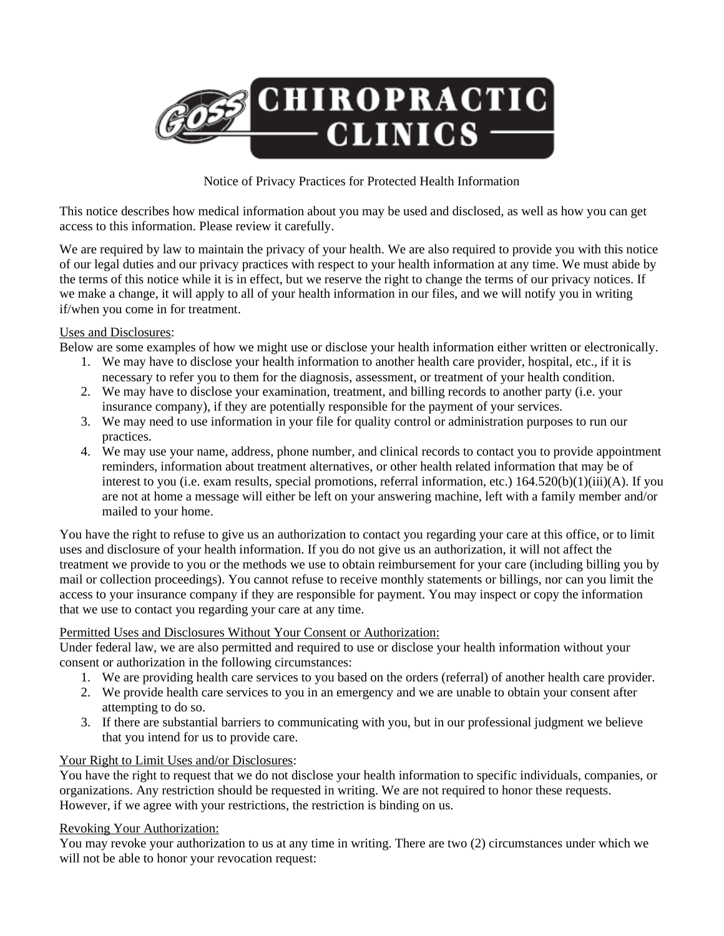

#### Notice of Privacy Practices for Protected Health Information

This notice describes how medical information about you may be used and disclosed, as well as how you can get access to this information. Please review it carefully.

We are required by law to maintain the privacy of your health. We are also required to provide you with this notice of our legal duties and our privacy practices with respect to your health information at any time. We must abide by the terms of this notice while it is in effect, but we reserve the right to change the terms of our privacy notices. If we make a change, it will apply to all of your health information in our files, and we will notify you in writing if/when you come in for treatment.

#### Uses and Disclosures:

Below are some examples of how we might use or disclose your health information either written or electronically.

- 1. We may have to disclose your health information to another health care provider, hospital, etc., if it is necessary to refer you to them for the diagnosis, assessment, or treatment of your health condition.
- 2. We may have to disclose your examination, treatment, and billing records to another party (i.e. your insurance company), if they are potentially responsible for the payment of your services.
- 3. We may need to use information in your file for quality control or administration purposes to run our practices.
- 4. We may use your name, address, phone number, and clinical records to contact you to provide appointment reminders, information about treatment alternatives, or other health related information that may be of interest to you (i.e. exam results, special promotions, referral information, etc.) 164.520(b)(1)(iii)(A). If you are not at home a message will either be left on your answering machine, left with a family member and/or mailed to your home.

You have the right to refuse to give us an authorization to contact you regarding your care at this office, or to limit uses and disclosure of your health information. If you do not give us an authorization, it will not affect the treatment we provide to you or the methods we use to obtain reimbursement for your care (including billing you by mail or collection proceedings). You cannot refuse to receive monthly statements or billings, nor can you limit the access to your insurance company if they are responsible for payment. You may inspect or copy the information that we use to contact you regarding your care at any time.

#### Permitted Uses and Disclosures Without Your Consent or Authorization:

Under federal law, we are also permitted and required to use or disclose your health information without your consent or authorization in the following circumstances:

- 1. We are providing health care services to you based on the orders (referral) of another health care provider.
- 2. We provide health care services to you in an emergency and we are unable to obtain your consent after attempting to do so.
- 3. If there are substantial barriers to communicating with you, but in our professional judgment we believe that you intend for us to provide care.

#### Your Right to Limit Uses and/or Disclosures:

You have the right to request that we do not disclose your health information to specific individuals, companies, or organizations. Any restriction should be requested in writing. We are not required to honor these requests. However, if we agree with your restrictions, the restriction is binding on us.

#### Revoking Your Authorization:

You may revoke your authorization to us at any time in writing. There are two (2) circumstances under which we will not be able to honor your revocation request: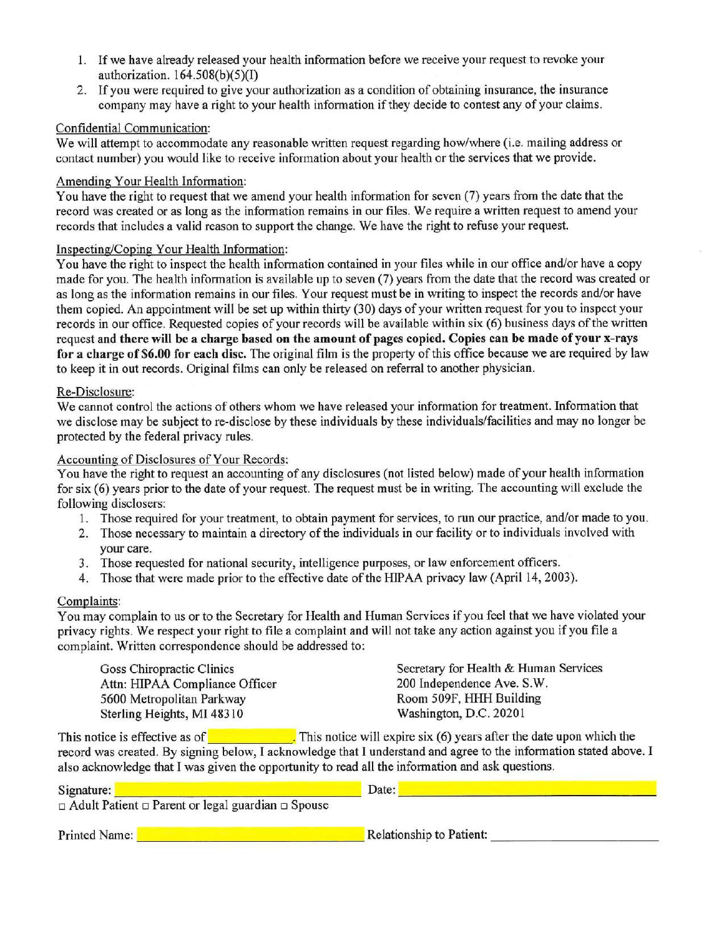- 1. If we have already released your health information before we receive your request to revoke your authorization.  $164.508(b)(5)(I)$
- 2. If you were required to give your authorization as a condition of obtaining insurance, the insurance company may have a right to your health information if they decide to contest any of your claims.

#### Confidential Communication:

We will attempt to accommodate any reasonable written request regarding how/where (i.e. mailing address or contact number) you would like to receive information about your health or the services that we provide.

#### Amending Your Health Information:

You have the right to request that we amend your health information for seven (7) years from the date that the record was created or as long as the information remains in our files. We require a written request to amend your records that includes a valid reason to support the change. We have the right to refuse your request.

#### Inspecting/Coping Your Health Information:

You have the right to inspect the health information contained in your files while in our office and/or have a copy made for you. The health information is available up to seven (7) years from the date that the record was created or as long as the information remains in our files. Your request must be in writing to inspect the records and/or have them copied. An appointment will be set up within thirty (30) days of your written request for you to inspect your records in our office. Requested copies of your records will be available within six (6) business days of the written request and there will be a charge based on the amount of pages copied. Copies can be made of your x-rays for a charge of \$6.00 for each disc. The original film is the property of this office because we are required by law to keep it in out records. Original films can only be released on referral to another physician.

#### Re-Disclosure:

We cannot control the actions of others whom we have released your information for treatment. Information that we disclose may be subject to re-disclose by these individuals by these individuals/facilities and may no longer be protected by the federal privacy rules.

#### Accounting of Disclosures of Your Records:

You have the right to request an accounting of any disclosures (not listed below) made of your health information for six (6) years prior to the date of your request. The request must be in writing. The accounting will exclude the following disclosers:

- 1. Those required for your treatment, to obtain payment for services, to run our practice, and/or made to you.
- 2. Those necessary to maintain a directory of the individuals in our facility or to individuals involved with vour care.
- 3. Those requested for national security, intelligence purposes, or law enforcement officers.
- 4. Those that were made prior to the effective date of the HIPAA privacy law (April 14, 2003).

#### Complaints:

You may complain to us or to the Secretary for Health and Human Services if you feel that we have violated your privacy rights. We respect your right to file a complaint and will not take any action against you if you file a complaint. Written correspondence should be addressed to:

| Secretary for Health & Human Services |
|---------------------------------------|
| 200 Independence Ave. S.W.            |
| Room 509F, HHH Building               |
| Washington, D.C. 20201                |
|                                       |

This notice is effective as of  $\blacksquare$  This notice will expire six (6) years after the date upon which the record was created. By signing below, I acknowledge that I understand and agree to the information stated above. I also acknowledge that I was given the opportunity to read all the information and ask questions.

| Signature:<br>$\Box$ Adult Patient $\Box$ Parent or legal guardian $\Box$ Spouse | Date:                    |
|----------------------------------------------------------------------------------|--------------------------|
| Printed Name:                                                                    | Relationship to Patient: |